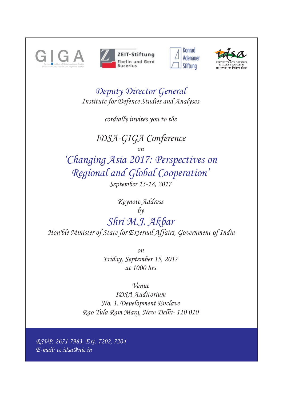







*Deputy Director General Institute for Defence Studies and Analyses*

*cordially invites you to the*

*IDSA-GIGA Conference*

*on*

*September 15-18, 2017 'Changing Asia 2017: Perspectives on Regional and Global Cooperation'*

*Shri M.J. Akbar Keynote Address by Hon'ble Minister of State for External Affairs, Government of India*

> *on Friday, September 15, 2017 at 1000 hrs*

> > *Venue*

*IDSA Auditorium No. 1. Development Enclave Rao Tula Ram Marg, New Delhi- 110 010* 

*RSVP: 2671-7983, Ext. 7202, 7204 E-mail: cc.idsa@nic.in*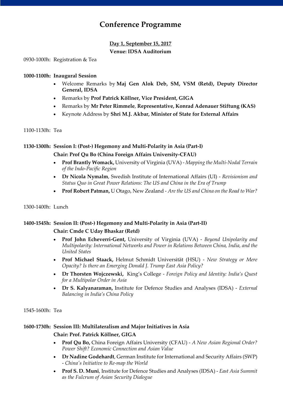# **Conference Programme**

## **Day 1, September 15, 2017 Venue: IDSA Auditorium**

0930-1000h: Registration & Tea

#### **1000-1100h: Inaugural Session**

- Welcome Remarks by **Maj Gen Alok Deb, SM, VSM (Retd), Deputy Director General, IDSA**
- Remarks by **Prof Patrick Köllner, Vice President, GIGA**
- Remarks by **Mr Peter Rimmele**, **Representative, Konrad Adenauer Stiftung (KAS)**
- Keynote Address by **Shri M.J. Akbar, Minister of State for External Affairs**

#### 1100-1130h: Tea

## **1130-1300h: Session I: (Post-) Hegemony and Multi-Polarity in Asia (Part-I)**

## **Chair: Prof Qu Bo (China Foreign Affairs University-CFAU)**

- **Prof Brantly Womack,** University of Virginia (UVA) *Mapping the Multi-Nodal Terrain of the Indo-Pacific Region*
- **Dr Nicola Nymalm**, Swedish Institute of International Affairs (UI) *Revisionism and Status Quo in Great Power Relations: The US and China in the Era of Trump*
- **Prof Robert Patman,** U Otago, New Zealand *Are the US and China on the Road to War?*

## 1300-1400h: Lunch

## **1400-1545h: Session II: (Post-) Hegemony and Multi-Polarity in Asia (Part-II)**

## **Chair: Cmde C Uday Bhaskar (Retd)**

- **Prof John Echeverri-Gent,** University of Virginia (UVA) *Beyond Unipolarity and Multipolarity: International Networks and Power in Relations Between China, India, and the United States*
- **Prof Michael Staack,** Helmut Schmidt Universität (HSU) *New Strategy or Mere Opacity? Is there an Emerging Donald J. Trump East Asia Policy?*
- **Dr Thorsten Wojczewski,** King's College *Foreign Policy and Identity: India's Quest for a Multipolar Order in Asia*
- **Dr S. Kalyanaraman,** Institute for Defence Studies and Analyses (IDSA) *External Balancing in India's China Policy*

1545-1600h: Tea

## **1600-1730h: Session III: Multilateralism and Major Initiatives in Asia**

## **Chair: Prof. Patrick Köllner, GIGA**

- **Prof Qu Bo,** China Foreign Affairs University (CFAU) *A New Asian Regional Order? Power Shift? Economic Connection and Asian Value*
- **Dr Nadine Godehardt**, German Institute for International and Security Affairs (SWP) - *China's Initiative to Re-map the World*
- **Prof S. D. Muni**, Institute for Defence Studies and Analyses (IDSA) *East Asia Summit as the Fulcrum of Asian Security Dialogue*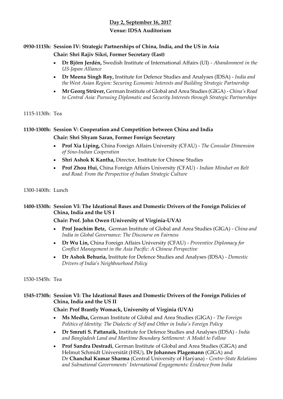# **Day 2, September 16, 2017 Venue: IDSA Auditorium**

## **0930-1115h: Session IV: Strategic Partnerships of China, India, and the US in Asia**

## **Chair: Shri Rajiv Sikri, Former Secretary (East)**

- **Dr Björn Jerdén,** Swedish Institute of International Affairs (UI) *Abandonment in the US-Japan Alliance*
- **Dr Meena Singh Roy,** Institute for Defence Studies and Analyses (IDSA) *India and the West Asian Region: Securing Economic Interests and Building Strategic Partnership*
- **Mr Georg Strüver,** German Institute of Global and Area Studies (GIGA) *China's Road to Central Asia: Pursuing Diplomatic and Security Interests through Strategic Partnerships*

## 1115-1130h: Tea

# **1130-1300h: Session V: Cooperation and Competition between China and India Chair: Shri Shyam Saran, Former Foreign Secretary**

- **Prof Xia Liping,** China Foreign Affairs University (CFAU) *The Consular Dimension of Sino-Indian Cooperation*
- **Shri Ashok K Kantha,** Director, Institute for Chinese Studies
- **Prof Zhou Hui,** China Foreign Affairs University (CFAU) *Indian Mindset on Belt and Road: From the Perspective of Indian Strategic Culture*

## 1300-1400h: Lunch

## **1400-1530h: Session VI: The Ideational Bases and Domestic Drivers of the Foreign Policies of China, India and the US I**

## **Chair: Prof. John Owen (University of Virginia-UVA)**

- **Prof Joachim Betz,** German Institute of Global and Area Studies (GIGA) *China and India in Global Governance: The Discourse on Fairness*
- **Dr Wu Lin,** China Foreign Affairs University (CFAU) *Preventive Diplomacy for Conflict Management in the Asia Pacific: A Chinese Perspective*
- **Dr Ashok Behuria,** Institute for Defence Studies and Analyses (IDSA) *Domestic Drivers of India's Neighbourhood Policy*

## 1530-1545h: Tea

## **1545-1730h: Session VI: The Ideational Bases and Domestic Drivers of the Foreign Policies of China, India and the US II**

## **Chair: Prof Brantly Womack, University of Virginia (UVA)**

- **Ms Medha,** German Institute of Global and Area Studies (GIGA) *The Foreign Politics of Identity: The Dialectic of Self and Other in India's Foreign Policy*
- **Dr Smruti S. Pattanaik,** Institute for Defence Studies and Analyses (IDSA) *India and Bangladesh Land and Maritime Boundary Settlement: A Model to Follow*
- **Prof Sandra Destradi**, German Institute of Global and Area Studies (GIGA) and Helmut Schmidt Universität (HSU), **Dr Johannes Plagemann** (GIGA) and Dr **Chanchal Kumar Sharma** (Central University of Harýana) - *Centre-State Relations and Subnational Governments' International Engagements: Evidence from India*